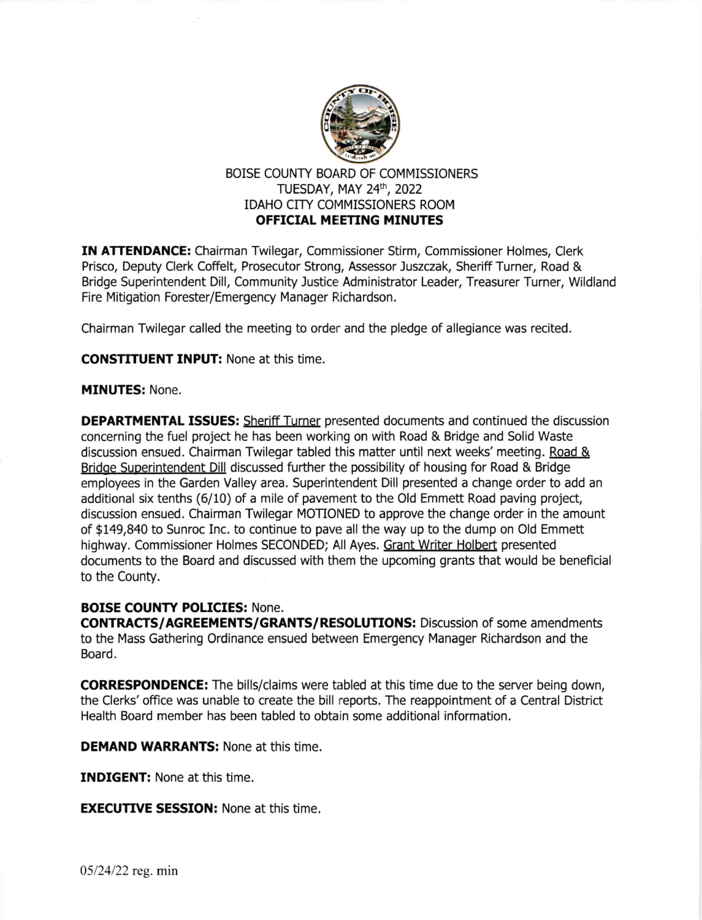

# BOISE COUNTY BOARD OF COMMISSIONERS TUESDAY, MAY 24th, 2022 IDAHO CITY COMMISSIONERS ROOM OFFTCIAL MEETING MINUTES

IN ATTENDANCE: Chairman Twilegar, Commissioner Stirm, Commissioner Holmes, Clerk Prisco, Deputy Clerk Coffelt, Prosecutor Strong, Assessor )uszczak, Sheriff Turner, Road & Bridge Superintendent Dill, Community Justice Administrator Leader, Treasurer Turner, Wildland Fire Mitigation Forester/Emergency Manager Richardson.

Chairman Twilegar called the meeting to order and the pledge of allegiance was recited.

CONSTITUENT INPUT: None at this time.

#### MINUTES: None.

DEPARTMENTAL ISSUES: Sheriff Turner presented documents and continued the discussion concerning the fuel project he has been working on with Road & Bridge and Solid Waste discussion ensued. Chairman Twilegar tabled this matter until next weeks' meeting. Road & Bridge Superintendent Dill discussed further the possibility of housing for Road & Bridge employees in the Garden Valley area. Superintendent Dill presented a change order to add an additional six tenths (6/10) of a mile of pavement to the Old Emmett Road paving project, discussion ensued. Chairman Twilegar MOTIONED to approve the change order in the amount of \$149,840 to Sunroc Inc. to continue to pave all the way up to the dump on Old Emmett highway. Commissioner Holmes SECONDED; All Ayes. Grant Writer Holbert presented documents to the Board and discussed with them the upcoming grants that would be beneficial to the County.

### BOISE COUNTY POLICIES: None.

CONTRACTS/AGREEMENTS/GRANTS/RESOLUTIONS: Discussion of some amendments to the Mass Gathering Ordinance ensued between Emergency Manager Richardson and the Board.

CORRESPONDENCE: The bills/claims were tabled at this time due to the server being down, the Clerks'office was unable to create the bill reports. The reappointment of a Central District Health Board member has been tabled to obtain some additional information.

DEMAND WARRANTS: None at this time.

INDIGENT: None at this time.

**EXECUTIVE SESSION:** None at this time.